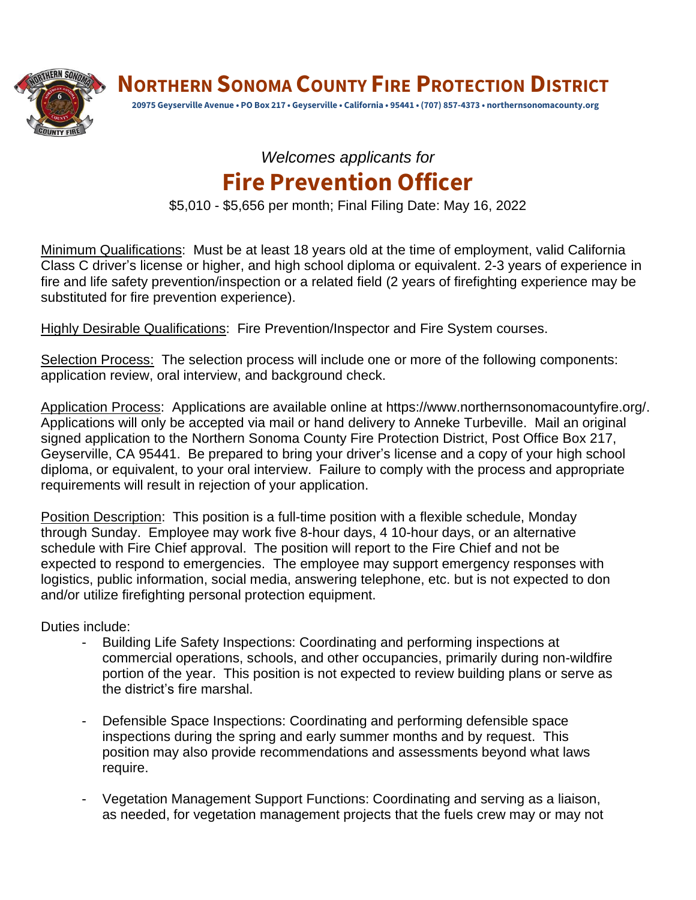

**NORTHERN SONOMA COUNTY FIRE PROTECTION DISTRICT**

**20975 Geyserville Avenue • PO Box 217 • Geyserville • California • 95441 • (707) 857-4373 • northernsonomacounty.org**

## *Welcomes applicants for* **Fire Prevention Officer**

\$5,010 - \$5,656 per month; Final Filing Date: May 16, 2022

Minimum Qualifications: Must be at least 18 years old at the time of employment, valid California Class C driver's license or higher, and high school diploma or equivalent. 2-3 years of experience in fire and life safety prevention/inspection or a related field (2 years of firefighting experience may be substituted for fire prevention experience).

Highly Desirable Qualifications: Fire Prevention/Inspector and Fire System courses.

Selection Process: The selection process will include one or more of the following components: application review, oral interview, and background check.

Application Process: Applications are available online at https://www.northernsonomacountyfire.org/. Applications will only be accepted via mail or hand delivery to Anneke Turbeville. Mail an original signed application to the Northern Sonoma County Fire Protection District, Post Office Box 217, Geyserville, CA 95441. Be prepared to bring your driver's license and a copy of your high school diploma, or equivalent, to your oral interview. Failure to comply with the process and appropriate requirements will result in rejection of your application.

Position Description: This position is a full-time position with a flexible schedule, Monday through Sunday. Employee may work five 8-hour days, 4 10-hour days, or an alternative schedule with Fire Chief approval. The position will report to the Fire Chief and not be expected to respond to emergencies. The employee may support emergency responses with logistics, public information, social media, answering telephone, etc. but is not expected to don and/or utilize firefighting personal protection equipment.

Duties include:

- Building Life Safety Inspections: Coordinating and performing inspections at commercial operations, schools, and other occupancies, primarily during non-wildfire portion of the year. This position is not expected to review building plans or serve as the district's fire marshal.
- Defensible Space Inspections: Coordinating and performing defensible space inspections during the spring and early summer months and by request. This position may also provide recommendations and assessments beyond what laws require.
- Vegetation Management Support Functions: Coordinating and serving as a liaison, as needed, for vegetation management projects that the fuels crew may or may not